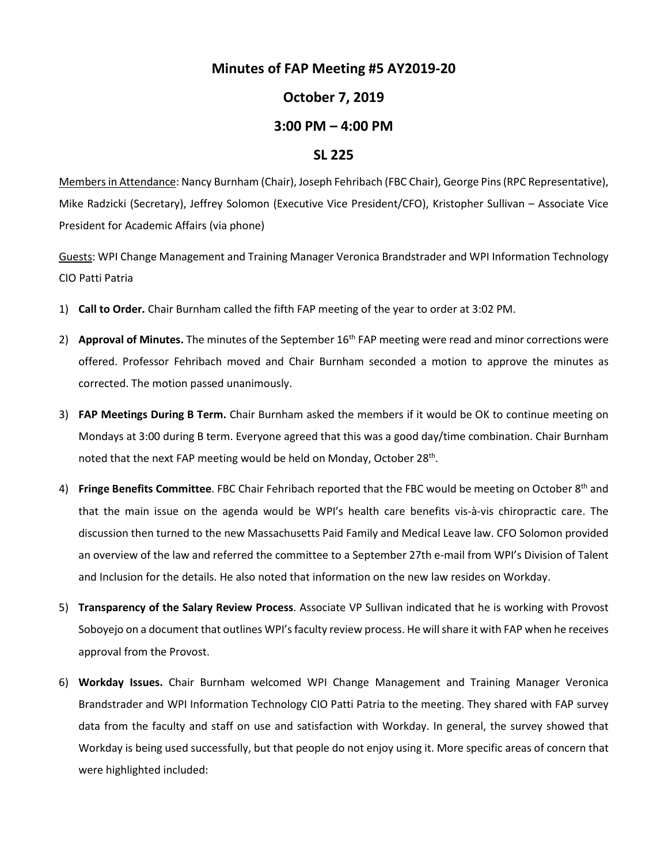## **Minutes of FAP Meeting #5 AY2019-20**

## **October 7, 2019**

## **3:00 PM – 4:00 PM**

## **SL 225**

Membersin Attendance: Nancy Burnham (Chair), Joseph Fehribach (FBC Chair), George Pins (RPC Representative), Mike Radzicki (Secretary), Jeffrey Solomon (Executive Vice President/CFO), Kristopher Sullivan – Associate Vice President for Academic Affairs (via phone)

Guests: WPI Change Management and Training Manager Veronica Brandstrader and WPI Information Technology CIO Patti Patria

- 1) **Call to Order.** Chair Burnham called the fifth FAP meeting of the year to order at 3:02 PM.
- 2) Approval of Minutes. The minutes of the September 16<sup>th</sup> FAP meeting were read and minor corrections were offered. Professor Fehribach moved and Chair Burnham seconded a motion to approve the minutes as corrected. The motion passed unanimously.
- 3) **FAP Meetings During B Term.** Chair Burnham asked the members if it would be OK to continue meeting on Mondays at 3:00 during B term. Everyone agreed that this was a good day/time combination. Chair Burnham noted that the next FAP meeting would be held on Monday, October 28<sup>th</sup>.
- 4) **Fringe Benefits Committee**. FBC Chair Fehribach reported that the FBC would be meeting on October 8th and that the main issue on the agenda would be WPI's health care benefits vis-à-vis chiropractic care. The discussion then turned to the new Massachusetts Paid Family and Medical Leave law. CFO Solomon provided an overview of the law and referred the committee to a September 27th e-mail from WPI's Division of Talent and Inclusion for the details. He also noted that information on the new law resides on Workday.
- 5) **Transparency of the Salary Review Process**. Associate VP Sullivan indicated that he is working with Provost Soboyejo on a document that outlines WPI's faculty review process. He will share it with FAP when he receives approval from the Provost.
- 6) **Workday Issues.** Chair Burnham welcomed WPI Change Management and Training Manager Veronica Brandstrader and WPI Information Technology CIO Patti Patria to the meeting. They shared with FAP survey data from the faculty and staff on use and satisfaction with Workday. In general, the survey showed that Workday is being used successfully, but that people do not enjoy using it. More specific areas of concern that were highlighted included: